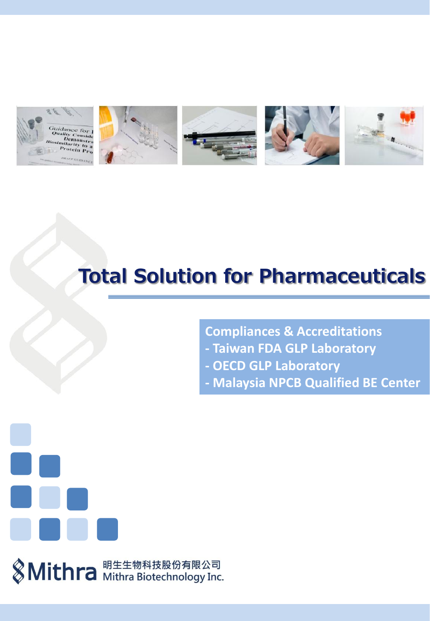

## **Total Solution for Pharmaceuticals**

**Compliances & Accreditations**

- **- Taiwan FDA GLP Laboratory**
- **- OECD GLP Laboratory**
- **- Malaysia NPCB Qualified BE Center**



**& Mithra** Mithra Biotechnology Inc.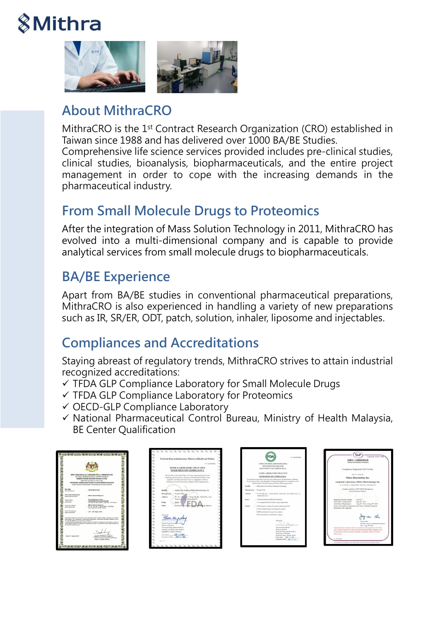# **8Mithra**



## About MithraCRO

MithraCRO is the 1<sup>st</sup> Contract Research Organization (CRO) established in Taiwan since 1988 and has delivered over 1000 BA/BE Studies. Comprehensive life science services provided includes pre-clinical studies, clinical studies, bioanalysis, biopharmaceuticals, and the entire project management in order to cope with the increasing demands in the pharmaceutical industry.

## From Small Molecule Drugs to Proteomics

After the integration of Mass Solution Technology in 2011, MithraCRO has evolved into a multi-dimensional company and is capable to provide analytical services from small molecule drugs to biopharmaceuticals.

## BA/BE Experience

Apart from BA/BE studies in conventional pharmaceutical preparations, MithraCRO is also experienced in handling a variety of new preparations such as IR, SR/ER, ODT, patch, solution, inhaler, liposome and injectables.

## Compliances and Accreditations

Staying abreast of regulatory trends, MithraCRO strives to attain industrial recognized accreditations:

- $\checkmark$  TFDA GLP Compliance Laboratory for Small Molecule Drugs
- TFDA GLP Compliance Laboratory for Proteomics
- OECD-GLP Compliance Laboratory
- $\checkmark$  National Pharmaceutical Control Bureau, Ministry of Health Malaysia, BE Center Qualification

|                                                                                          | INO PENGAWALAN FARMASEUTIKAL KEBANGSAAN                                                                                                                                                                       |
|------------------------------------------------------------------------------------------|---------------------------------------------------------------------------------------------------------------------------------------------------------------------------------------------------------------|
|                                                                                          | NETIONAL PHAINMODUTION, CONTROL BUREAU<br>KEMENTERIAN KESBIATAN MALAYSIA<br>MANUTRY OF HEALTH ANGLEYEA                                                                                                        |
|                                                                                          | PROGRAM KOMPLIANS PUSAT KAJAN BIOEKUIVALENS<br>COMPLIANCE PROGRAMME FOR BIOECURALENCE CENTRE                                                                                                                  |
| <b>MO. BLM.</b>                                                                          |                                                                                                                                                                                                               |
| <b>CARDINARY ART</b>                                                                     | <b>KOCPINE INVASE</b>                                                                                                                                                                                         |
| Prest Kaler Bookshakers<br><b>Read Astron Galler</b>                                     | Withra Bishachnetings Inc.                                                                                                                                                                                    |
| Texas Kindul<br><b>Cineral Kits</b>                                                      | <b>Closing Research Canter</b><br><b>Tolest Madrud University Hospital</b><br>As 252 Wymans Brood, Tolpie City, 110, Tymers                                                                                   |
| Twenty Brownwidth at<br>Because the                                                      | <b>Bra Bismudowheat Inc.</b><br>1. W. No. 104, San 1, Kinga No. Au, Kuns Did.,<br>New Tapes City, 22102, Turanto                                                                                              |
| Turkh Partenbasen<br>Date of Assemblar                                                   | 1 24 <sup>m</sup> - 38 <sup>m</sup> March 2014                                                                                                                                                                |
|                                                                                          | Fuse Kaler Bretuws are turned a year book disensed on a taken Program Kunglians Fuse Kaler.<br>Bratchstein, Bry Paraguster, Fernandike Kolorusser, Homelsche Keshater Stelause. Sie in                        |
| out host ban 28 before for renking to change for-<br>the side of this partitions recent. | The shore memoral directatories prize is detect a die homes Phenosopher Durint Bureau Ministry of<br>ready homest Constitute Programme to Beneveralistic Center, For politicals it will be three OS when Ford |
|                                                                                          |                                                                                                                                                                                                               |
| Date: 20" January 2016                                                                   | <b>Thursdale Bandy</b>                                                                                                                                                                                        |
|                                                                                          | <b>Bread Pharmacoutius Control Bureau</b><br>Missile of Harth Manuel                                                                                                                                          |





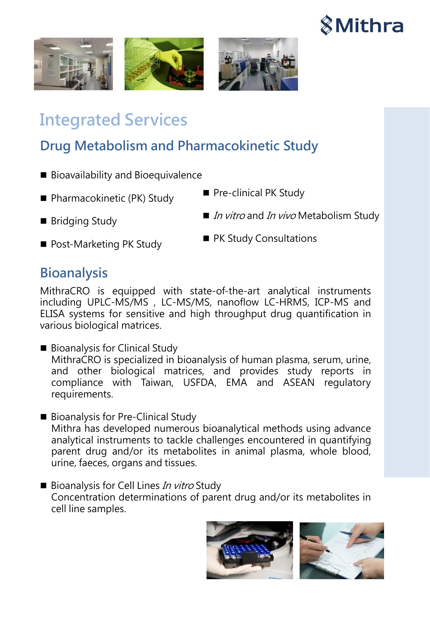







## Integrated Services

## Drug Metabolism and Pharmacokinetic Study

- Bioavailability and Bioequivalence
- Pharmacokinetic (PK) Study
- Bridging Study
- Post-Marketing PK Study
- Pre-clinical PK Study
- In *Vitro* and *In vivo* Metabolism Study
- **PK Study Consultations**

#### **Bioanalysis**

MithraCRO is equipped with state-of-the-art analytical instruments including UPLC-MS/MS , LC-MS/MS, nanoflow LC-HRMS, ICP-MS and ELISA systems for sensitive and high throughput drug quantification in various biological matrices.

- Bioanalysis for Clinical Study MithraCRO is specialized in bioanalysis of human plasma, serum, urine, and other biological matrices, and provides study reports in compliance with Taiwan, USFDA, EMA and ASEAN regulatory requirements.
- Bioanalysis for Pre-Clinical Study Mithra has developed numerous bioanalytical methods using advance analytical instruments to tackle challenges encountered in quantifying parent drug and/or its metabolites in animal plasma, whole blood, urine, faeces, organs and tissues.
- $\blacksquare$  Bioanalysis for Cell Lines In vitro Study Concentration determinations of parent drug and/or its metabolites in cell line samples.